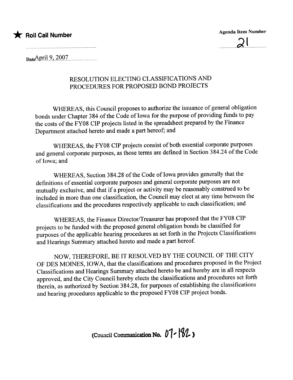

Agenda Item Number



 $_{\text{Date}}$ April 9, 2007

### RESOLUTION ELECTING CLASSIFICATIONS AND PROCEDURS FOR PROPOSED BOND PROJECTS

WHEREAS, this Council proposes to authorize the issuance of general obligation bonds under Chapter 384 of the Code of Iowa for the purpose of providing funds to pay the costs of the FY08 CIP projects listed in the spreadsheet prepared by the Finance Department attached hereto and made a part hereof; and

WHEREAS, the FY08 CIP projects consist of both essential corporate purposes and general corporate purposes, as those terms are defined in Section 384.24 of the Code of Iowa; and

WHEREAS, Section 384.28 of the Code of Iowa provides generally that the definitions of essential corporate purposes and general corporate purposes are not mutually exclusive, and that if a project or activity may be reasonably construed to be included in more than one classification, the Council may elect at any time between the classifications and the procedures respectively applicable to each classification; and

WHEREAS, the Finance Director/Treasurer has proposed that the FY08 CIP projects to be funded with the proposed general obligation bonds be classified for purposes of the applicable hearing procedures as set forth in the Projects Classifications and Hearings Summary attached hereto and made a part hereof.

NOW, THEREFORE, BE IT RESOLVED BY THE COUNCIL OF THE CITY OF DES MOINES, IOWA, that the classifications and procedures proposed in the Project Classifications and Hearings Summary attached hereto be and hereby are in all respects approved, and the City Council hereby elects the classifications and procedures set forth therein, as authorized by Section 384.28, for purposes of establishing the classifications and hearing procedures applicable to the proposed FY08 CIP project bonds.

(Council Communication No.  $07 - 182$ )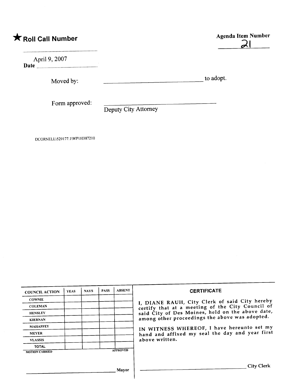## \* Roll Call Number Agenda Item Number

..........\_--\_........\_.................................................................

April 9,2007 Date ....-\_....-..................-\_...........-......-\_.....-......\_-

Moved by: to adopt.

Form approved:

Deputy City Attorney

DCORNELL\529I 77 I\WP\103872 <sup>I</sup>0

| <b>COUNCIL ACTION</b> | <b>YEAS</b> | <b>NAYS</b> | <b>PASS</b> | <b>ABSENT</b>   | <b>CERTIFICATE</b>                               |
|-----------------------|-------------|-------------|-------------|-----------------|--------------------------------------------------|
| <b>COWNIE</b>         |             |             |             |                 | I, DIANE RAUH, City Clerk of said City hereby    |
| <b>COLEMAN</b>        |             |             |             |                 | certify that at a meeting of the City Council of |
| <b>HENSLEY</b>        |             |             |             |                 | said City of Des Moines, held on the above date, |
| <b>KIERNAN</b>        |             |             |             |                 | among other proceedings the above was adopted.   |
| <b>MAHAFFEY</b>       |             |             |             |                 | IN WITNESS WHEREOF, I have hereunto set my       |
| <b>MEYER</b>          |             |             |             |                 | hand and affixed my seal the day and year first  |
| <b>VLASSIS</b>        |             |             |             |                 | above written.                                   |
| <b>TOTAL</b>          |             |             |             |                 |                                                  |
| <b>MOTION CARRIED</b> |             |             |             | <b>APPROVED</b> |                                                  |
|                       |             |             |             |                 |                                                  |
|                       |             |             |             | Mayor           | <b>City Clerk</b>                                |
|                       |             |             |             |                 |                                                  |

# $\overline{2}$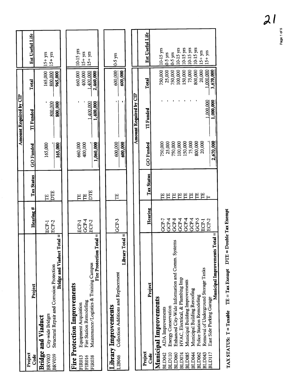|                                |                                                                                                              |                |                          |                      | <b>Amount Required by CIP</b> |                                   |                            |
|--------------------------------|--------------------------------------------------------------------------------------------------------------|----------------|--------------------------|----------------------|-------------------------------|-----------------------------------|----------------------------|
| Project<br>Code                | Project                                                                                                      | Hearing #      | Tax Status               | <b>GO Funded</b>     | <b>TI</b> Funded              | Total                             | Est Useful Life            |
| <b>BRV039</b><br><b>BRV003</b> | Structural Repair and Corrosion Protection<br>City-wide Bridges<br><b>Bridge and Viaduct</b>                 | ECP-2<br>ECP-1 | DTE<br>吕                 | 165,000              | 800,000                       | 165,000<br>800,000                | $15+yrs$<br>$15+yrs$       |
|                                | Bridge and Viaduct Total =                                                                                   |                |                          | 165,000              | 800,000                       | 965,000                           |                            |
| <b>FIR013</b>                  | <b>Fire Protection Improvements</b><br><b>Equipment Acquisition</b>                                          | ECP-1          | Έ                        | 660,000              |                               | 660,000                           | 10-15 yrs                  |
| <b>FIR016</b><br><b>FIR038</b> | $\alpha$ tal $=$<br>Fire Protection To<br>Maintenance/Logistics & Training Campus<br>Fire Station Remodeling | GCP-4<br>ECP-2 | DTE<br>TΕ                | 400,000<br>1,060,000 | 1.400,000<br>1,400,000        | 400,000<br>1,400,000<br>2,460,000 | $15+yrs$<br>$15 + yrs$     |
|                                |                                                                                                              |                |                          |                      |                               |                                   |                            |
| LIB046                         | Library Total =<br>Collection Additions and Replacement<br><b>Library Improvements</b>                       | GCP-3          | 日                        | 600,000<br>600,000   |                               | 600,000<br>600,000                | $0.5$ yrs                  |
|                                |                                                                                                              |                |                          |                      |                               |                                   |                            |
|                                |                                                                                                              |                |                          |                      | Amount Required by CIP        |                                   |                            |
| Project<br>Code                | Project                                                                                                      | Hearing        | <b>Tax Status</b>        | GO Funded            | TI Funded                     | Total                             | Est Useful Life            |
|                                | Municipal Improvements                                                                                       |                |                          |                      |                               |                                   |                            |
| <b>BLD042</b>                  | <b>ADA</b> Improvements                                                                                      | GCP4<br>GCP-7  | 出<br>日                   | 25,000<br>750,000    |                               | 750,000<br>25,000                 | $10-15$ yrs<br>$0-5$ yrs   |
| BLD110<br>BLD060               | Enhanced City-Wide Information and Comm. Systems<br><b>Energy Conservation</b>                               | GCP-8          | E                        | 750,000              |                               | 750,000                           | $0-5$ yrs                  |
| BLD074                         | HVAC, Electrical, & Plumbing Imp                                                                             | GCP4           | 日                        | 100,000              |                               | 100,000<br>150,000                | $10-15$ yrs<br>$10-15$ yrs |
| BLD085                         | Municipal Building Improvements                                                                              | GCP-4<br>GCP4  | F<br>E                   | 150,000<br>75,000    |                               | 75,000                            | $10-15$ yrs                |
| BLD044<br><b>BLD062</b>        | Municipal Building Reroofing<br>Police Station Remodeling                                                    | GCP-5          | 日日                       | 800,000              |                               | 800,000                           | $10-15$ yrs                |
| BLD043                         | Removal of Underground Storage Tanks                                                                         | ECP-1          | $\overline{\phantom{0}}$ | 20,000               | 000,000                       | 20,000<br>1,000,000               | $15 + yrs$<br>$15+yrs$     |
| BLD117                         | $otad =$<br>Municipal Improvements T<br>East Side Parking Garage                                             | ECP-2          |                          | 2,670,000            | 1,000,000                     | 3,670,000                         |                            |
|                                |                                                                                                              |                |                          |                      |                               |                                   |                            |

TAX STATUS:  $T = Taxable$  TE = Tax Exempt DTE = Double Tax Exempt TAX STATUS:  $T = Taxable$  TE = Tax Exempt DTE = Double 1ax Exempt Page 1 of 5 Page 1 of 5

 $21$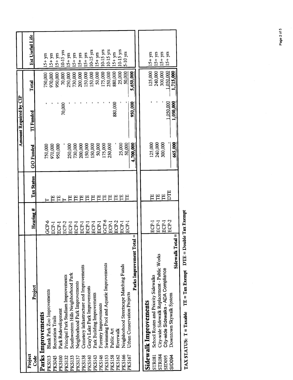|                        | Est Useful Life   |                    | $54 + yrs$                         | $15 + yrs$        | $15+yrs$           | $10-15$ yrs                         | $15+yrs$                             | $15+yrs$                       | $15 + yrs$                               | $15+yrs$                      | $15$ yrs                   | $15 + yrs$            | $10-15$ yrs                            | $15 \text{ yrs}$ | $15+yrs$  | 10-15 yrs                               | $5-10$ yrs                  |                           |                       | $15+yns$                             | $15+yrs$                                      | $15+yrs$                             | $15+yrs$  |                                             |
|------------------------|-------------------|--------------------|------------------------------------|-------------------|--------------------|-------------------------------------|--------------------------------------|--------------------------------|------------------------------------------|-------------------------------|----------------------------|-----------------------|----------------------------------------|------------------|-----------|-----------------------------------------|-----------------------------|---------------------------|-----------------------|--------------------------------------|-----------------------------------------------|--------------------------------------|-----------|---------------------------------------------|
|                        | Total             |                    | 750,000                            | 970,000           | 950,000            | 70,000                              | 250,000                              | 730,000                        | 200,000                                  | 150,000                       | 150,000                    | 50,000                | (75,000                                | 250,000          | 880,000   | 25,000                                  | 50,000                      | 5,650,000                 |                       | 125,000                              | 240,000                                       | 300,000                              | 1,050,000 | 1,715,000                                   |
| Amount Required by CIP | <b>TI</b> Funded  |                    |                                    |                   |                    | 70,000                              |                                      |                                |                                          |                               |                            |                       |                                        |                  | 880,000   |                                         |                             | 950,000                   |                       |                                      |                                               |                                      | 1.050,000 | 1,050,000                                   |
|                        | <b>GO</b> Funded  |                    | 750,000                            | 970,000           | 950,000            |                                     | 250,000                              | 730,000                        | 200,000                                  | 150,000                       | 150,000                    | 50,000                | 175,000                                | 250,000          |           | 25,000                                  | 50,000                      | 4,700,000                 |                       | 125,000                              | 240,000                                       | 300,000                              |           | 665,000                                     |
|                        | <b>Tax Status</b> |                    |                                    |                   | 巴巴                 |                                     | Н                                    | Е                              | 吕                                        | Ë                             | 出                          | 띕                     | 呂                                      | 臣                | 띕         | 日日                                      |                             |                           |                       |                                      | 巴巴巴                                           |                                      | E         |                                             |
|                        | Hearing #         |                    | GCP-6                              | ECP-1             | ECP-1              | ECP-2                               | ECP-1                                | ECP-1                          | ECP-I                                    | ECP-1                         | ECP-1                      | ECP-1                 | $GCP-6$                                | ECP-1            | ECP-2     | ECP-1                                   | ECP-1                       |                           |                       | ECP-1                                | ECP-1                                         | ECP-1                                | ECP-2     |                                             |
|                        | Project           | Parks Improvements | <b>Blank Park Zoo Improvements</b> | Recreation Trails | Park Redevelopment | Principal Park Stadium Improvements | Southwestern Hills Neighborhood Park | Neighborhood Park Improvements | Cemetery Infrastructure and Improvements | Gray's Lake Park Improvements | Park Building Improvements | Forestry Improvements | Swimming Pool and Aquatic Improvements | Public Art       | Riverwalk | Neighborhood Streetscape Matching Funds | Urban Conservation Projects | Parks Improvement Total = | Sidewalk Improvements | School Routes and Priority Sidewalks | City-wide Sidewalk Replacement - Public Works | City-wide Sidewalks - ADA Compliance |           | Sidewalk Total =<br>Downtown Skywalk System |
|                        | Project<br>Code   |                    | <b>PKS013</b>                      | <b>PKS045</b>     | <b>PKS100</b>      | <b>PKS132</b>                       | <b>PKS133</b>                        | <b>PKS137</b>                  | <b>PKS138</b>                            | <b>PKS140</b>                 | <b>PKS143</b>              | PKS146                | <b>PKS153</b>                          | <b>PKS158</b>    | PKS162    | PKS166                                  | PKS167                      |                           |                       | <b>STR081</b>                        | STR084                                        |                                      | SID095    | SID <sub>094</sub>                          |

TAX STATUS:  $T = Taxable$  TE = Tax Exempt DTE = Double Tax Exempt

 $\overline{\phantom{a}}$ 

Page 2 of 5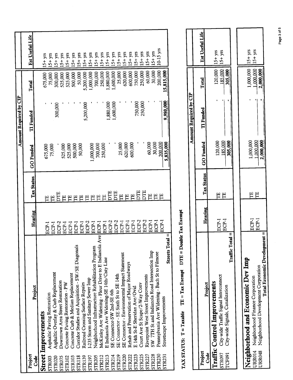|               |                                                               |         |                   |                  | Amount Required by CIP |            |                       |
|---------------|---------------------------------------------------------------|---------|-------------------|------------------|------------------------|------------|-----------------------|
|               |                                                               |         |                   |                  |                        |            |                       |
| Project       |                                                               |         | <b>Tax Status</b> | <b>GO</b> Funded | <b>TI</b> Funded       | Total      | Est Useful Life       |
| <b>Code</b>   | Project                                                       | Hearing |                   |                  |                        |            |                       |
|               | Street Improvements                                           |         |                   |                  |                        | 675,000    | $15+yrs$              |
| <b>STR003</b> | Asphaltic Paving Restoration                                  | ECP-1   |                   | 675,000          |                        | 75,000     | yrs<br>$15 +$         |
| <b>STR020</b> | Asphaltic Overlay & Curb Replacement                          | ECP-1   | 巴                 | 75,000           |                        | 300,000    | yrs<br>$\frac{1}{2}$  |
| <b>STR075</b> | Downtown Area Street Restoration                              | ECP-2   | E<br>DT           |                  | 300,000                | 525,000    | уrs<br>$\overline{5}$ |
| <b>STR102</b> | Concrete Paving Restoration - PW                              | ECP-I   |                   | 525,000          |                        | 525,000    | $15+yrs$              |
| <b>STR103</b> | Concrete Curb & Median Replacement                            | ECP-I   |                   | 525,000          |                        | 500,000    | yrs<br>$\frac{1}{2}$  |
| <b>STR118</b> | S<br>Corridor Studies and Acquisition - SW/SE Diagonal        | ECP-1   |                   | 500,000          |                        | 50,000     | ψS<br>$\frac{1}{2}$   |
| <b>STR139</b> | Railroad Crossing Surface Repairs                             | ECP-1   | 뜬                 | 50,000           |                        |            | ۶<br>$-15$            |
| <b>STR197</b> | I-235 Storm and Sanitary Sewer Imp                            | ECP-2   | 뜬                 |                  | 5,200,000              | 5,200,000  |                       |
|               | Neighborhood Infrastructure Rehabilitation Program            | ECP-1   | Е                 | ,000,000,        |                        | 1,000,000  | yrs<br>$-5 +$         |
| <b>STR205</b> | la Ave ECP-1                                                  |         | 巴                 | 700,000          |                        | 700,000    | уrs<br>$\frac{1}{2}$  |
| <b>STR212</b> | McKinley Ave Widening - Fleur Drive to E Indianol             | ECP-1   | 巴                 | 250,000          |                        | 250,000    | yrs<br>.<br>15        |
| STR213        | E Indianola Ave Widening-SE 14th/Cnty Line                    | $ECP-2$ |                   |                  | $000,088$ .            | ,880,000   | $15+yrs$              |
| STR214        | SE Connector-SW 2nd-SE 6th                                    |         | Ë                 |                  | ,600,000               | ,600,000   | $15 + yrs$            |
| <b>STR219</b> | SE Connector - SE Sixth St to SE 14th                         | ECP-2   |                   | 25,000           |                        | 25,000     | $15+yrs$              |
| <b>STR220</b> | SE Connector - Environmental Impact Statement                 | ECP-I   | Ë                 | 620,000          |                        | 620,000    | $5+$ yrs              |
| STR222        | Rehab and Preservation of Major Roadways                      | ECP-1   | 뜬                 |                  |                        | 600,000    | $15 + yrs$            |
| STR223        | E 14th St-E Sheridan Ave/Ovid                                 | ECP-1   |                   | 600,000          | 750,000                | 750,000    | $15+yrs$              |
| <b>STR225</b> | Court Ave St Scape/2-Way Conv                                 | ECP-2   | 月                 |                  | 250,000                | 250,000    | $15+yrs$              |
| STR227        | Riverpoint West Street Improvements                           | ECP-2   | 日                 | 60,000           |                        | 60,000     | $15+yrs$              |
| STR228        | SW 7TH St and Indianola Road Intersection Imp                 | ECP-I   |                   | 30,000           |                        | 30,000     | $15+yrs$              |
| STR230        | Pennsylvania Ave Widening - Buch St to Filmore                | ECP-1   |                   | 200,000          |                        | 200,000    | $10-15$ yrs           |
| STR231        | $Total =$<br>Streets <sup>1</sup><br>Streetscape Improvements | ECP-I   | 出                 | 5,835,000        | 9,980,000              | 15,815,000 |                       |
|               |                                                               |         |                   |                  |                        |            |                       |

TAX STATUS:  $T = Taxabb$   $TE = Tax$  Exempt  $DTE = Double$   $Tax$  Exempt

|                                                                                                                                                             |                |            |                                     | Amount Required by CIP |                                     |                         |
|-------------------------------------------------------------------------------------------------------------------------------------------------------------|----------------|------------|-------------------------------------|------------------------|-------------------------------------|-------------------------|
| Project                                                                                                                                                     | Hearing        | Tax Status | <b>GO</b> Funded                    | <b>TI</b> Funded       | Total                               | Est Useful Life         |
| Traffic Total =<br>STR097 City-wide Traffic Signal Interconnect<br>Traffic Control Improvements<br>City-wide Signals, Canalization                          | ECP-1<br>ECP-1 | Ë<br>띰     | 305,000<br>120,000<br>185,000       |                        | 185,000<br>120,000<br>305,000       | $15+$ yrs<br>$15+yns$   |
|                                                                                                                                                             |                |            |                                     |                        |                                     |                         |
| Total Economic Development =<br>Neighborhood and Economic Dev Imp<br>URR048 Neighborhood Development Corporation<br>URR014 Neighborhood Finance Corporation | ECP-1<br>ECP-1 | Ë<br>띰     | 1,000,000<br>1,000,000<br>2,000,000 |                        | 1,000,000<br>1,000,000<br>2,000,000 | $15+yrs$<br>$115 + yrs$ |

Page 3 of 5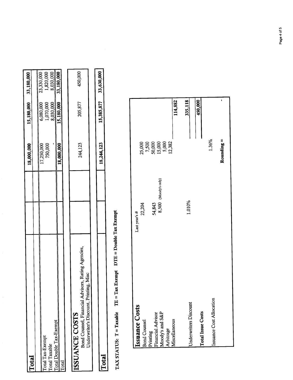|                         | 18,000,000 |           | 15,180,000 33,180,000 |
|-------------------------|------------|-----------|-----------------------|
| Total                   |            |           |                       |
|                         | 17,250,000 | 5,080,000 | 23,330,000            |
| otal Tax-Exempt         | 750,000    | 1,070,000 | 1,820,000             |
| Total Taxable           |            | 8,030,000 | 8,030,000             |
| Total Double Tax-Exempt | 18,000,000 |           | 15,180,000 33,180,000 |
| <b>Lotal</b>            |            |           |                       |

| <b>SSUANCE COSTS</b>                             |                | 205,877 | 150,000 |
|--------------------------------------------------|----------------|---------|---------|
| Kating A<br>Bond Counsel, Financial Advisors, K. | <b>244.12.</b> |         |         |
| Inderwriter's Discount, Printing,                |                |         |         |
|                                                  |                |         |         |

33,630,000

15,385,877

18,244,123

# $\overline{\text{Total}}$  15,385,877 33,630,000  $\overline{\text{Total}}$  18,244,123 15,385,877 33,630,000 Total

# TAX STATUS:  $T = Taxable$  TE = Tax Exempt DTE = Double Tax Exempt TAX STATUS:  $T = Taxable$  TE = Tax Exempt DIE = Double Tax Exempt

| <b>Issuance Costs</b>                                                                          | 22,204<br>Last year's #        |                                                        |         |
|------------------------------------------------------------------------------------------------|--------------------------------|--------------------------------------------------------|---------|
| Bond Counsel<br>Printing<br>Financial Advisor<br>Moody's and S&P<br>Arbitrage<br>Miscellaneous | 54,843<br>8,500 (Moody's only) | 25,000<br>7,500<br>50,000<br>15,000<br>5,382<br>12,382 | 114,882 |
| <b>Underwriters Discount</b>                                                                   | 1.010%                         |                                                        | 335,118 |
| <b>Total Issue Costs</b>                                                                       |                                |                                                        | 450,000 |
| Issuance Cost Allocation                                                                       |                                | 1.36%                                                  |         |
|                                                                                                |                                | Rounding $=$                                           | r       |